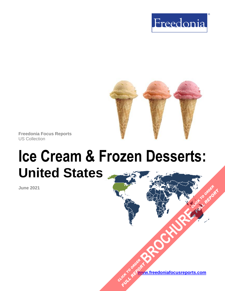



**Freedonia Focus Reports** US Collection

# **Ice Cream & Frozen Desserts: United States**

**June 2021**

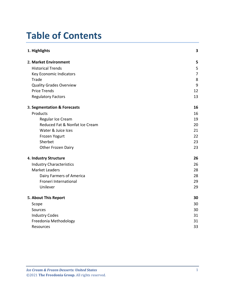# **Table of Contents**

| 1. Highlights                   | 3              |
|---------------------------------|----------------|
| 2. Market Environment           | 5              |
| <b>Historical Trends</b>        | 5              |
| Key Economic Indicators         | $\overline{7}$ |
| Trade                           | 8              |
| <b>Quality Grades Overview</b>  | 9              |
| <b>Price Trends</b>             | 12             |
| <b>Regulatory Factors</b>       | 13             |
| 3. Segmentation & Forecasts     | 16             |
| Products                        | 16             |
| Regular Ice Cream               | 19             |
| Reduced Fat & Nonfat Ice Cream  | 20             |
| Water & Juice Ices              | 21             |
| Frozen Yogurt                   | 22             |
| Sherbet                         | 23             |
| Other Frozen Dairy              | 23             |
| 4. Industry Structure           | 26             |
| <b>Industry Characteristics</b> | 26             |
| <b>Market Leaders</b>           | 28             |
| Dairy Farmers of America        | 28             |
| Froneri International           | 29             |
| Unilever                        | 29             |
| 5. About This Report            | 30             |
| Scope                           | 30             |
| Sources                         | 30             |
| <b>Industry Codes</b>           | 31             |
| Freedonia Methodology           | 31             |
| Resources                       | 33             |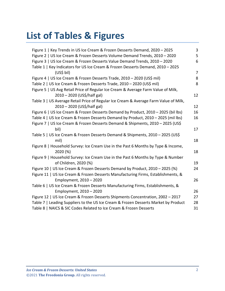# **List of Tables & Figures**

| Figure 1   Key Trends in US Ice Cream & Frozen Desserts Demand, 2020 - 2025          | 3              |
|--------------------------------------------------------------------------------------|----------------|
| Figure 2   US Ice Cream & Frozen Desserts Volume Demand Trends, 2010 - 2020          | 5              |
| Figure 3   US Ice Cream & Frozen Desserts Value Demand Trends, 2010 - 2020           | 6              |
| Table 1   Key Indicators for US Ice Cream & Frozen Desserts Demand, 2010 - 2025      |                |
| (US\$ bil)                                                                           | $\overline{7}$ |
| Figure 4   US Ice Cream & Frozen Desserts Trade, 2010 - 2020 (US\$ mil)              | 8              |
| Table 2   US Ice Cream & Frozen Desserts Trade, 2010 - 2020 (US\$ mil)               | 8              |
| Figure 5   US Avg Retail Price of Regular Ice Cream & Average Farm Value of Milk,    |                |
| 2010 - 2020 (US\$/half gal)                                                          | 12             |
| Table 3   US Average Retail Price of Regular Ice Cream & Average Farm Value of Milk, |                |
| 2010 - 2020 (US\$/half gal)                                                          | 12             |
| Figure 6   US Ice Cream & Frozen Desserts Demand by Product, 2010 - 2025 (bil lbs)   | 16             |
| Table 4   US Ice Cream & Frozen Desserts Demand by Product, 2010 - 2025 (mil lbs)    | 16             |
| Figure 7   US Ice Cream & Frozen Desserts Demand & Shipments, 2010 - 2025 (US\$      |                |
| bil)                                                                                 | 17             |
| Table 5   US Ice Cream & Frozen Desserts Demand & Shipments, 2010 - 2025 (US\$       |                |
| mil)                                                                                 | 18             |
| Figure 8   Household Survey: Ice Cream Use in the Past 6 Months by Type & Income,    |                |
| 2020 (%)                                                                             | 18             |
| Figure 9   Household Survey: Ice Cream Use in the Past 6 Months by Type & Number     |                |
| of Children, 2020 (%)                                                                | 19             |
| Figure 10   US Ice Cream & Frozen Desserts Demand by Product, 2010 - 2025 (%)        | 24             |
| Figure 11   US Ice Cream & Frozen Desserts Manufacturing Firms, Establishments, &    |                |
| Employment, 2010 - 2020                                                              | 26             |
| Table 6   US Ice Cream & Frozen Desserts Manufacturing Firms, Establishments, &      |                |
| Employment, 2010 - 2020                                                              | 26             |
| Figure 12   US Ice Cream & Frozen Desserts Shipments Concentration, 2002 - 2017      | 27             |
| Table 7   Leading Suppliers to the US Ice Cream & Frozen Desserts Market by Product  | 28             |
| Table 8   NAICS & SIC Codes Related to Ice Cream & Frozen Desserts                   | 31             |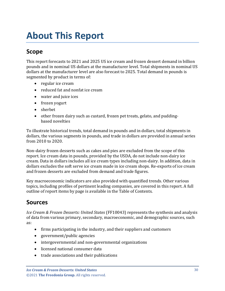# <span id="page-3-0"></span>**About This Report**

## <span id="page-3-1"></span>**Scope**

This report forecasts to 2021 and 2025 US ice cream and frozen dessert demand in billion pounds and in nominal US dollars at the manufacturer level. Total shipments in nominal US dollars at the manufacturer level are also forecast to 2025. Total demand in pounds is segmented by product in terms of:

- regular ice cream
- reduced fat and nonfat ice cream
- water and juice ices
- frozen yogurt
- sherbet
- other frozen dairy such as custard, frozen pet treats, gelato, and puddingbased novelties

To illustrate historical trends, total demand in pounds and in dollars, total shipments in dollars, the various segments in pounds, and trade in dollars are provided in annual series from 2010 to 2020.

Non-dairy frozen desserts such as cakes and pies are excluded from the scope of this report. Ice cream data in pounds, provided by the USDA, do not include non-dairy ice cream. Data in dollars includes all ice cream types including non-dairy. In addition, data in dollars excludes the soft serve ice cream made in ice cream shops. Re-exports of ice cream and frozen desserts are excluded from demand and trade figures.

Key macroeconomic indicators are also provided with quantified trends. Other various topics, including profiles of pertinent leading companies, are covered in this report. A full outline of report items by page is available in the Table of Contents.

#### <span id="page-3-2"></span>**Sources**

*Ice Cream & Frozen Desserts: United States* (FF10043) represents the synthesis and analysis of data from various primary, secondary, macroeconomic, and demographic sources, such as:

- firms participating in the industry, and their suppliers and customers
- government/public agencies
- intergovernmental and non-governmental organizations
- licensed national consumer data
- trade associations and their publications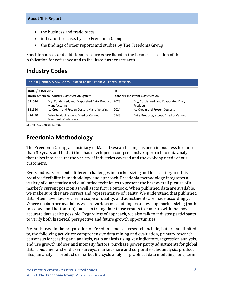- the business and trade press
- indicator forecasts by The Freedonia Group
- the findings of other reports and studies by The Freedonia Group

Specific sources and additional resources are listed in the Resources section of this publication for reference and to facilitate further research.

### <span id="page-4-0"></span>**Industry Codes**

<span id="page-4-2"></span>

| Table 8   NAICS & SIC Codes Related to Ice Cream & Frozen Desserts |                                                                    |                                           |                                                  |  |  |
|--------------------------------------------------------------------|--------------------------------------------------------------------|-------------------------------------------|--------------------------------------------------|--|--|
| <b>NAICS/SCIAN 2017</b>                                            |                                                                    | <b>SIC</b>                                |                                                  |  |  |
| North American Industry Classification System                      |                                                                    | <b>Standard Industrial Classification</b> |                                                  |  |  |
| 311514                                                             | Dry, Condensed, and Evaporated Dairy Product 2023<br>Manufacturing |                                           | Dry, Condensed, and Evaporated Diary<br>Products |  |  |
| 311520                                                             | Ice Cream and Frozen Dessert Manufacturing                         | 2024                                      | Ice Cream and Frozen Desserts                    |  |  |
| 424430                                                             | Dairy Product (except Dried or Canned)<br>Merchant Wholesalers     | 5143                                      | Dairy Products, except Dried or Canned           |  |  |

Source: US Census Bureau

### <span id="page-4-1"></span>**Freedonia Methodology**

The Freedonia Group, a subsidiary of MarketResearch.com, has been in business for more than 30 years and in that time has developed a comprehensive approach to data analysis that takes into account the variety of industries covered and the evolving needs of our customers.

Every industry presents different challenges in market sizing and forecasting, and this requires flexibility in methodology and approach. Freedonia methodology integrates a variety of quantitative and qualitative techniques to present the best overall picture of a market's current position as well as its future outlook: When published data are available, we make sure they are correct and representative of reality. We understand that published data often have flaws either in scope or quality, and adjustments are made accordingly. Where no data are available, we use various methodologies to develop market sizing (both top-down and bottom-up) and then triangulate those results to come up with the most accurate data series possible. Regardless of approach, we also talk to industry participants to verify both historical perspective and future growth opportunities.

Methods used in the preparation of Freedonia market research include, but are not limited to, the following activities: comprehensive data mining and evaluation, primary research, consensus forecasting and analysis, ratio analysis using key indicators, regression analysis, end use growth indices and intensity factors, purchase power parity adjustments for global data, consumer and end user surveys, market share and corporate sales analysis, product lifespan analysis, product or market life cycle analysis, graphical data modeling, long-term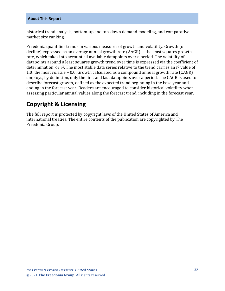historical trend analysis, bottom-up and top-down demand modeling, and comparative market size ranking.

Freedonia quantifies trends in various measures of growth and volatility. Growth (or decline) expressed as an average annual growth rate (AAGR) is the least squares growth rate, which takes into account all available datapoints over a period. The volatility of datapoints around a least squares growth trend over time is expressed via the coefficient of determination, or  $r^2$ . The most stable data series relative to the trend carries an  $r^2$  value of 1.0; the most volatile – 0.0. Growth calculated as a compound annual growth rate (CAGR) employs, by definition, only the first and last datapoints over a period. The CAGR is used to describe forecast growth, defined as the expected trend beginning in the base year and ending in the forecast year. Readers are encouraged to consider historical volatility when assessing particular annual values along the forecast trend, including in the forecast year.

### **Copyright & Licensing**

The full report is protected by copyright laws of the United States of America and international treaties. The entire contents of the publication are copyrighted by The Freedonia Group.